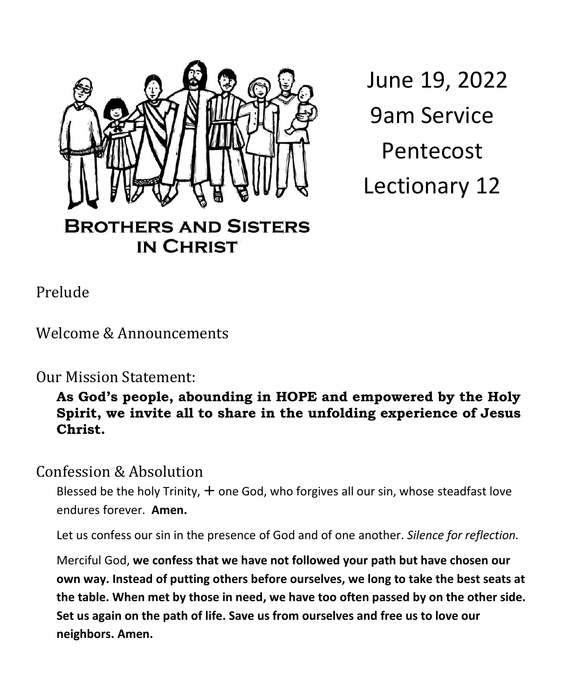

**IN CHRIST** 

 June 19, 2022 9am Service Pentecost Lectionary 12

Prelude

Welcome & Announcements

Our Mission Statement:

#### **As God's people, abounding in HOPE and empowered by the Holy Spirit, we invite all to share in the unfolding experience of Jesus Christ.**

Confession & Absolution

Blessed be the holy Trinity,  $+$  one God, who forgives all our sin, whose steadfast love endures forever. **Amen.** 

Let us confess our sin in the presence of God and of one another. *Silence for reflection.*

Merciful God, **we confess that we have not followed your path but have chosen our own way. Instead of putting others before ourselves, we long to take the best seats at the table. When met by those in need, we have too often passed by on the other side. Set us again on the path of life. Save us from ourselves and free us to love our neighbors. Amen.**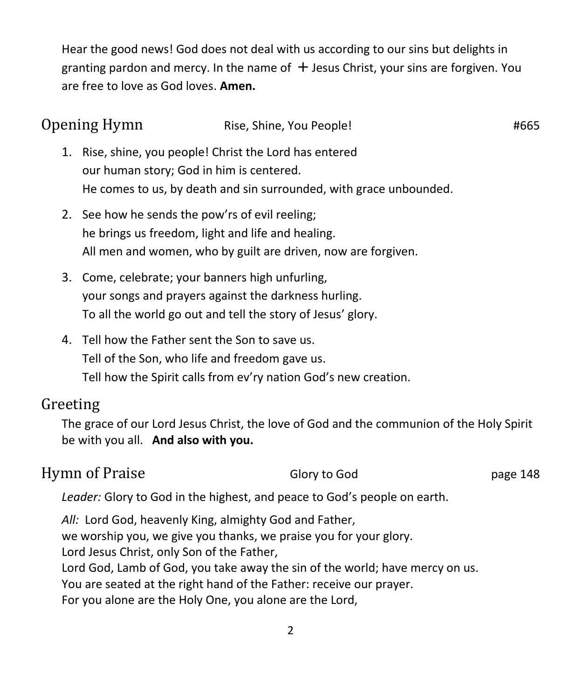Hear the good news! God does not deal with us according to our sins but delights in granting pardon and mercy. In the name of  $+$  Jesus Christ, your sins are forgiven. You are free to love as God loves. **Amen.**

| Opening Hymn |                                                                                                      | Rise, Shine, You People!                                                                                            | #665 |
|--------------|------------------------------------------------------------------------------------------------------|---------------------------------------------------------------------------------------------------------------------|------|
| 1.           | Rise, shine, you people! Christ the Lord has entered<br>our human story; God in him is centered.     | He comes to us, by death and sin surrounded, with grace unbounded.                                                  |      |
|              | 2. See how he sends the pow'rs of evil reeling;<br>he brings us freedom, light and life and healing. | All men and women, who by guilt are driven, now are forgiven.                                                       |      |
|              | 3. Come, celebrate; your banners high unfurling,                                                     | your songs and prayers against the darkness hurling.<br>To all the world go out and tell the story of Jesus' glory. |      |
|              | 4. Tell how the Father sent the Son to save us.<br>Tell of the Son, who life and freedom gave us.    | Tell how the Spirit calls from ev'ry nation God's new creation.                                                     |      |
| Greeting     | be with you all. And also with you.                                                                  | The grace of our Lord Jesus Christ, the love of God and the communion of the Holy Spirit                            |      |

## Hymn of Praise Glory to God page 148

*Leader:* Glory to God in the highest, and peace to God's people on earth.

*All:* Lord God, heavenly King, almighty God and Father, we worship you, we give you thanks, we praise you for your glory. Lord Jesus Christ, only Son of the Father, Lord God, Lamb of God, you take away the sin of the world; have mercy on us. You are seated at the right hand of the Father: receive our prayer. For you alone are the Holy One, you alone are the Lord,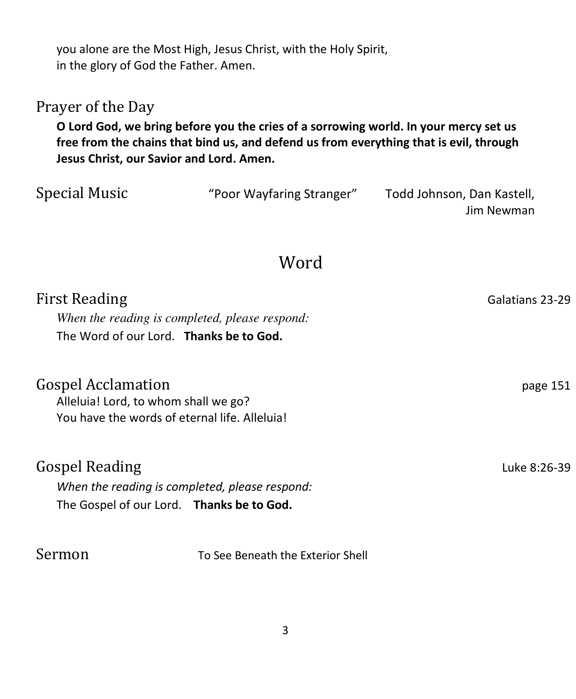you alone are the Most High, Jesus Christ, with the Holy Spirit, in the glory of God the Father. Amen.

### Prayer of the Day

**O Lord God, we bring before you the cries of a sorrowing world. In your mercy set us free from the chains that bind us, and defend us from everything that is evil, through Jesus Christ, our Savior and Lord. Amen.**

| Special Music | "Poor Wayfaring Stranger" | Todd Johnson, Dan Kastell, |
|---------------|---------------------------|----------------------------|
|               |                           | Jim Newman                 |
|               |                           |                            |

# Word

| <b>First Reading</b>                 |                                                | Galatians 23-29 |
|--------------------------------------|------------------------------------------------|-----------------|
|                                      | When the reading is completed, please respond: |                 |
|                                      | The Word of our Lord. Thanks be to God.        |                 |
| <b>Gospel Acclamation</b>            |                                                | page 151        |
| Alleluia! Lord, to whom shall we go? | You have the words of eternal life. Alleluia!  |                 |
|                                      |                                                |                 |
| <b>Gospel Reading</b>                |                                                | Luke 8:26-39    |
|                                      | When the reading is completed, please respond: |                 |
|                                      | The Gospel of our Lord. Thanks be to God.      |                 |
| Sermon                               | To See Beneath the Exterior Shell              |                 |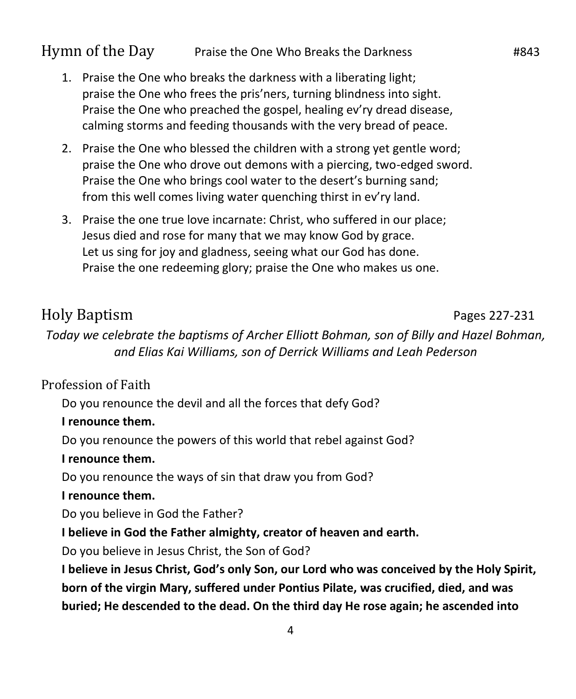#### Hymn of the Day Praise the One Who Breaks the Darkness **#843**

- 1. Praise the One who breaks the darkness with a liberating light; praise the One who frees the pris'ners, turning blindness into sight. Praise the One who preached the gospel, healing ev'ry dread disease, calming storms and feeding thousands with the very bread of peace.
- 2. Praise the One who blessed the children with a strong yet gentle word; praise the One who drove out demons with a piercing, two-edged sword. Praise the One who brings cool water to the desert's burning sand; from this well comes living water quenching thirst in ev'ry land.
- 3. Praise the one true love incarnate: Christ, who suffered in our place; Jesus died and rose for many that we may know God by grace. Let us sing for joy and gladness, seeing what our God has done. Praise the one redeeming glory; praise the One who makes us one.

#### Holy Baptism Pages 227-231

*Today we celebrate the baptisms of Archer Elliott Bohman, son of Billy and Hazel Bohman, and Elias Kai Williams, son of Derrick Williams and Leah Pederson*

#### Profession of Faith

Do you renounce the devil and all the forces that defy God?

#### **I renounce them.**

Do you renounce the powers of this world that rebel against God?

#### **I renounce them.**

Do you renounce the ways of sin that draw you from God?

#### **I renounce them.**

Do you believe in God the Father?

**I believe in God the Father almighty, creator of heaven and earth.**

Do you believe in Jesus Christ, the Son of God?

**I believe in Jesus Christ, God's only Son, our Lord who was conceived by the Holy Spirit, born of the virgin Mary, suffered under Pontius Pilate, was crucified, died, and was buried; He descended to the dead. On the third day He rose again; he ascended into**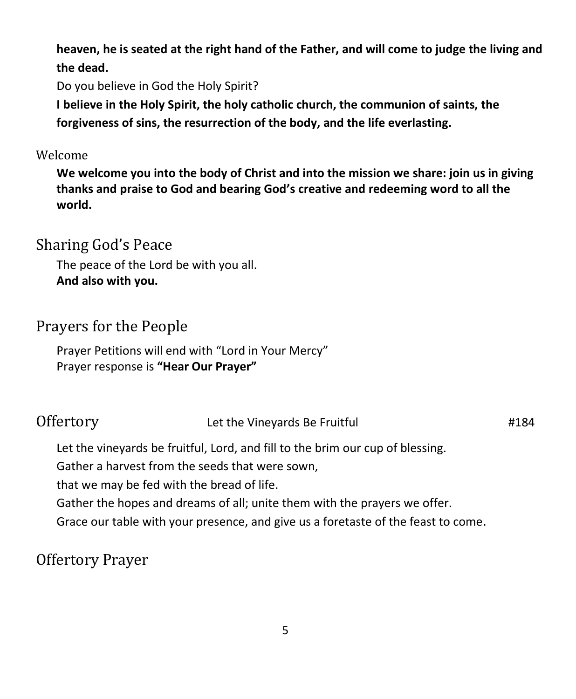**heaven, he is seated at the right hand of the Father, and will come to judge the living and the dead.** 

Do you believe in God the Holy Spirit?

**I believe in the Holy Spirit, the holy catholic church, the communion of saints, the forgiveness of sins, the resurrection of the body, and the life everlasting.** 

#### Welcome

**We welcome you into the body of Christ and into the mission we share: join us in giving thanks and praise to God and bearing God's creative and redeeming word to all the world.** 

## Sharing God's Peace

The peace of the Lord be with you all. **And also with you.** 

## Prayers for the People

Prayer Petitions will end with "Lord in Your Mercy" Prayer response is **"Hear Our Prayer"**

| Offertory | Let the Vineyards Be Fruitful | #184 |
|-----------|-------------------------------|------|
|-----------|-------------------------------|------|

Let the vineyards be fruitful, Lord, and fill to the brim our cup of blessing.

Gather a harvest from the seeds that were sown,

that we may be fed with the bread of life.

Gather the hopes and dreams of all; unite them with the prayers we offer.

Grace our table with your presence, and give us a foretaste of the feast to come.

## Offertory Prayer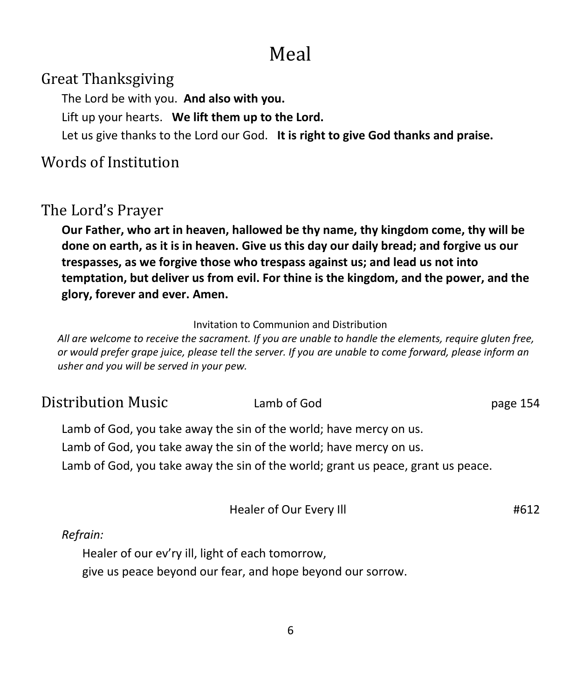# Meal

Great Thanksgiving

The Lord be with you. **And also with you.**

Lift up your hearts. **We lift them up to the Lord.**

Let us give thanks to the Lord our God. **It is right to give God thanks and praise.**

## Words of Institution

# The Lord's Prayer

**Our Father, who art in heaven, hallowed be thy name, thy kingdom come, thy will be done on earth, as it is in heaven. Give us this day our daily bread; and forgive us our trespasses, as we forgive those who trespass against us; and lead us not into temptation, but deliver us from evil. For thine is the kingdom, and the power, and the glory, forever and ever. Amen.** 

Invitation to Communion and Distribution

*All are welcome to receive the sacrament. If you are unable to handle the elements, require gluten free, or would prefer grape juice, please tell the server. If you are unable to come forward, please inform an usher and you will be served in your pew.* 

| Distribution Music                                                                                                                                     | Lamb of God             | page 154 |
|--------------------------------------------------------------------------------------------------------------------------------------------------------|-------------------------|----------|
| Lamb of God, you take away the sin of the world; have mercy on us.                                                                                     |                         |          |
| Lamb of God, you take away the sin of the world; have mercy on us.<br>Lamb of God, you take away the sin of the world; grant us peace, grant us peace. |                         |          |
|                                                                                                                                                        | Healer of Our Every Ill | #612     |

#### *Refrain:*

Healer of our ev'ry ill, light of each tomorrow,

give us peace beyond our fear, and hope beyond our sorrow.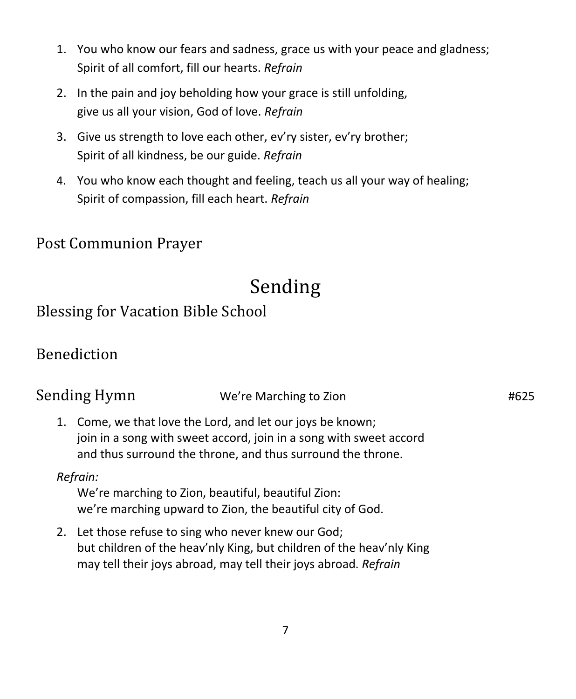- 1. You who know our fears and sadness, grace us with your peace and gladness; Spirit of all comfort, fill our hearts. *Refrain*
- 2. In the pain and joy beholding how your grace is still unfolding, give us all your vision, God of love. *Refrain*
- 3. Give us strength to love each other, ev'ry sister, ev'ry brother; Spirit of all kindness, be our guide. *Refrain*
- 4. You who know each thought and feeling, teach us all your way of healing; Spirit of compassion, fill each heart. *Refrain*

Post Communion Prayer

# Sending

Blessing for Vacation Bible School

## Benediction

| Sending Hymn | We're Marching to Zion | #625 |
|--------------|------------------------|------|
|              |                        |      |

1. Come, we that love the Lord, and let our joys be known; join in a song with sweet accord, join in a song with sweet accord and thus surround the throne, and thus surround the throne.

#### *Refrain:*

We're marching to Zion, beautiful, beautiful Zion: we're marching upward to Zion, the beautiful city of God.

2. Let those refuse to sing who never knew our God; but children of the heav'nly King, but children of the heav'nly King may tell their joys abroad, may tell their joys abroad. *Refrain*